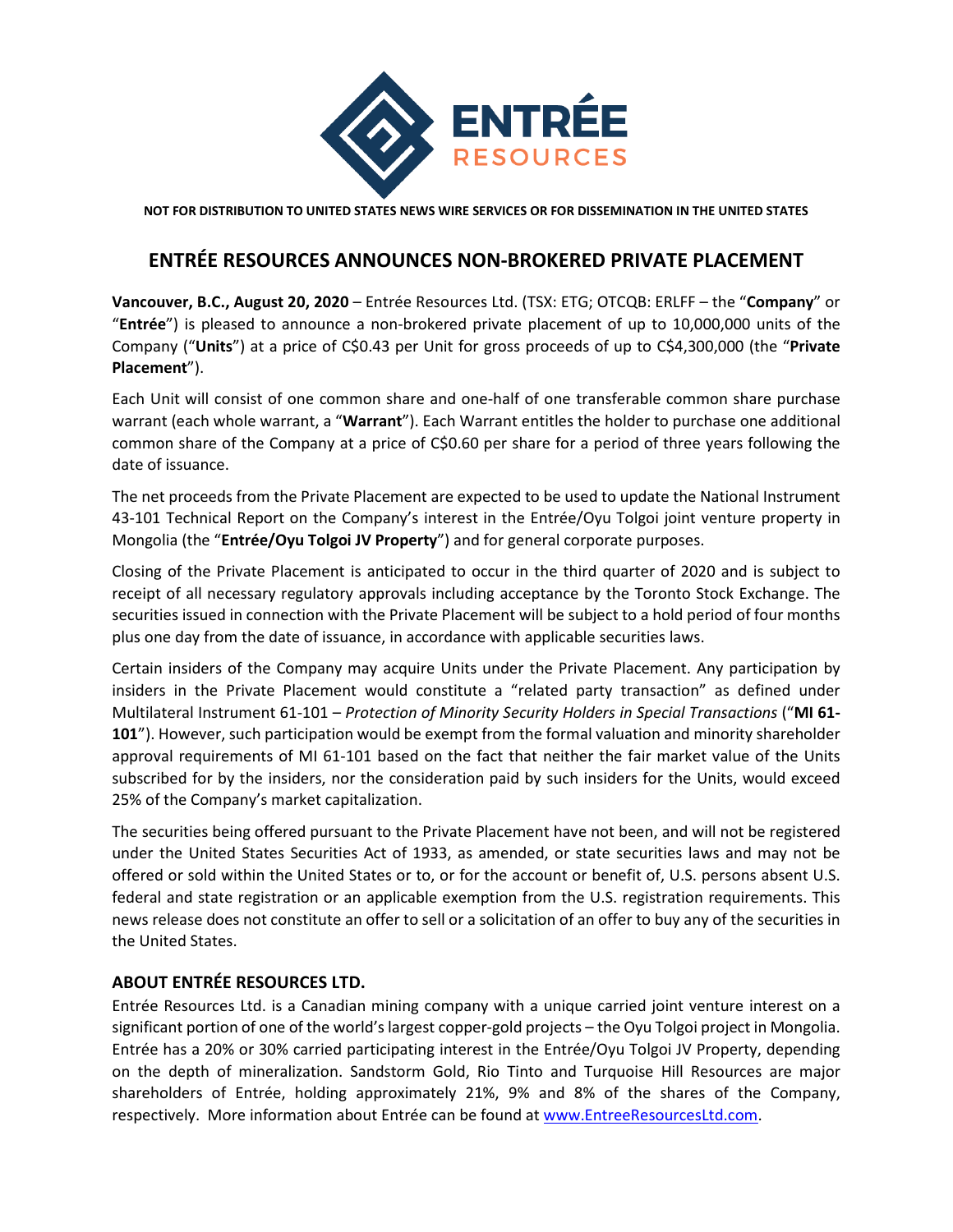

**NOT FOR DISTRIBUTION TO UNITED STATES NEWS WIRE SERVICES OR FOR DISSEMINATION IN THE UNITED STATES**

## **ENTRÉE RESOURCES ANNOUNCES NON-BROKERED PRIVATE PLACEMENT**

**Vancouver, B.C., August 20, 2020** – Entrée Resources Ltd. (TSX: ETG; OTCQB: ERLFF – the "**Company**" or "**Entrée**") is pleased to announce a non-brokered private placement of up to 10,000,000 units of the Company ("**Units**") at a price of C\$0.43 per Unit for gross proceeds of up to C\$4,300,000 (the "**Private Placement**").

Each Unit will consist of one common share and one-half of one transferable common share purchase warrant (each whole warrant, a "**Warrant**"). Each Warrant entitles the holder to purchase one additional common share of the Company at a price of C\$0.60 per share for a period of three years following the date of issuance.

The net proceeds from the Private Placement are expected to be used to update the National Instrument 43-101 Technical Report on the Company's interest in the Entrée/Oyu Tolgoi joint venture property in Mongolia (the "**Entrée/Oyu Tolgoi JV Property**") and for general corporate purposes.

Closing of the Private Placement is anticipated to occur in the third quarter of 2020 and is subject to receipt of all necessary regulatory approvals including acceptance by the Toronto Stock Exchange. The securities issued in connection with the Private Placement will be subject to a hold period of four months plus one day from the date of issuance, in accordance with applicable securities laws.

Certain insiders of the Company may acquire Units under the Private Placement. Any participation by insiders in the Private Placement would constitute a "related party transaction" as defined under Multilateral Instrument 61-101 – *Protection of Minority Security Holders in Special Transactions* ("**MI 61- 101**"). However, such participation would be exempt from the formal valuation and minority shareholder approval requirements of MI 61-101 based on the fact that neither the fair market value of the Units subscribed for by the insiders, nor the consideration paid by such insiders for the Units, would exceed 25% of the Company's market capitalization.

The securities being offered pursuant to the Private Placement have not been, and will not be registered under the United States Securities Act of 1933, as amended, or state securities laws and may not be offered or sold within the United States or to, or for the account or benefit of, U.S. persons absent U.S. federal and state registration or an applicable exemption from the U.S. registration requirements. This news release does not constitute an offer to sell or a solicitation of an offer to buy any of the securities in the United States.

## **ABOUT ENTRÉE RESOURCES LTD.**

Entrée Resources Ltd. is a Canadian mining company with a unique carried joint venture interest on a significant portion of one of the world's largest copper-gold projects – the Oyu Tolgoi project in Mongolia. Entrée has a 20% or 30% carried participating interest in the Entrée/Oyu Tolgoi JV Property, depending on the depth of mineralization. Sandstorm Gold, Rio Tinto and Turquoise Hill Resources are major shareholders of Entrée, holding approximately 21%, 9% and 8% of the shares of the Company, respectively. More information about Entrée can be found at [www.EntreeResourcesLtd.com.](http://www.entreeresourcesltd.com/)